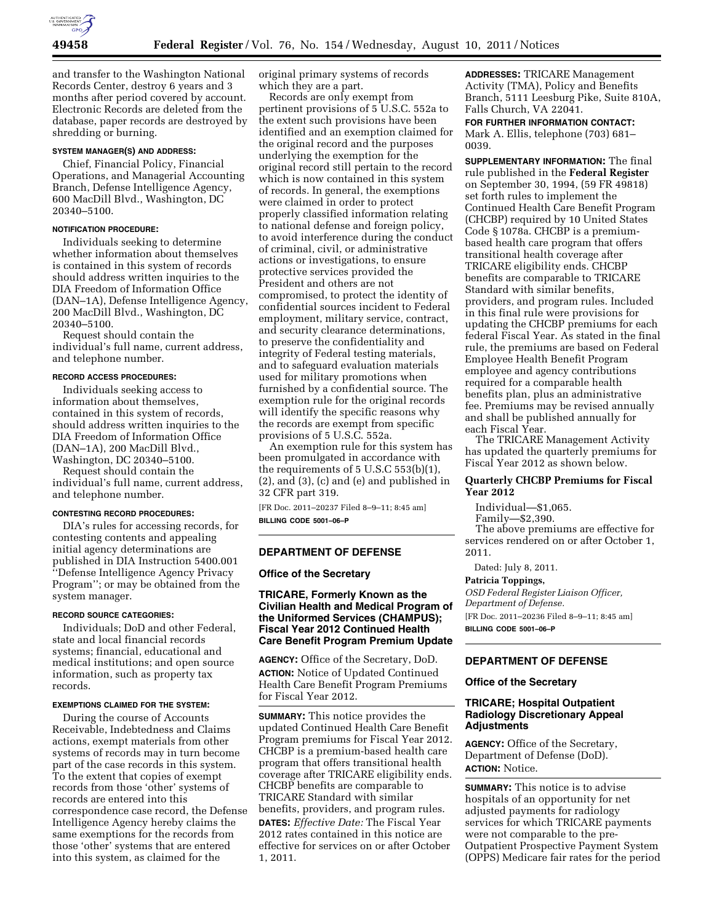

and transfer to the Washington National Records Center, destroy 6 years and 3 months after period covered by account. Electronic Records are deleted from the database, paper records are destroyed by shredding or burning.

### **SYSTEM MANAGER(S) AND ADDRESS:**

Chief, Financial Policy, Financial Operations, and Managerial Accounting Branch, Defense Intelligence Agency, 600 MacDill Blvd., Washington, DC 20340–5100.

# **NOTIFICATION PROCEDURE:**

Individuals seeking to determine whether information about themselves is contained in this system of records should address written inquiries to the DIA Freedom of Information Office (DAN–1A), Defense Intelligence Agency, 200 MacDill Blvd., Washington, DC 20340–5100.

Request should contain the individual's full name, current address, and telephone number.

#### **RECORD ACCESS PROCEDURES:**

Individuals seeking access to information about themselves, contained in this system of records, should address written inquiries to the DIA Freedom of Information Office (DAN–1A), 200 MacDill Blvd., Washington, DC 20340–5100.

Request should contain the individual's full name, current address, and telephone number.

#### **CONTESTING RECORD PROCEDURES:**

DIA's rules for accessing records, for contesting contents and appealing initial agency determinations are published in DIA Instruction 5400.001 ''Defense Intelligence Agency Privacy Program''; or may be obtained from the system manager.

#### **RECORD SOURCE CATEGORIES:**

Individuals; DoD and other Federal, state and local financial records systems; financial, educational and medical institutions; and open source information, such as property tax records.

### **EXEMPTIONS CLAIMED FOR THE SYSTEM:**

During the course of Accounts Receivable, Indebtedness and Claims actions, exempt materials from other systems of records may in turn become part of the case records in this system. To the extent that copies of exempt records from those 'other' systems of records are entered into this correspondence case record, the Defense Intelligence Agency hereby claims the same exemptions for the records from those 'other' systems that are entered into this system, as claimed for the

original primary systems of records which they are a part.

Records are only exempt from pertinent provisions of 5 U.S.C. 552a to the extent such provisions have been identified and an exemption claimed for the original record and the purposes underlying the exemption for the original record still pertain to the record which is now contained in this system of records. In general, the exemptions were claimed in order to protect properly classified information relating to national defense and foreign policy, to avoid interference during the conduct of criminal, civil, or administrative actions or investigations, to ensure protective services provided the President and others are not compromised, to protect the identity of confidential sources incident to Federal employment, military service, contract, and security clearance determinations, to preserve the confidentiality and integrity of Federal testing materials, and to safeguard evaluation materials used for military promotions when furnished by a confidential source. The exemption rule for the original records will identify the specific reasons why the records are exempt from specific provisions of 5 U.S.C. 552a.

An exemption rule for this system has been promulgated in accordance with the requirements of 5 U.S.C 553(b)(1), (2), and (3), (c) and (e) and published in 32 CFR part 319.

[FR Doc. 2011–20237 Filed 8–9–11; 8:45 am] **BILLING CODE 5001–06–P** 

# **DEPARTMENT OF DEFENSE**

### **Office of the Secretary**

**TRICARE, Formerly Known as the Civilian Health and Medical Program of the Uniformed Services (CHAMPUS); Fiscal Year 2012 Continued Health Care Benefit Program Premium Update** 

**AGENCY:** Office of the Secretary, DoD. **ACTION:** Notice of Updated Continued Health Care Benefit Program Premiums for Fiscal Year 2012.

**SUMMARY:** This notice provides the updated Continued Health Care Benefit Program premiums for Fiscal Year 2012. CHCBP is a premium-based health care program that offers transitional health coverage after TRICARE eligibility ends. CHCBP benefits are comparable to TRICARE Standard with similar benefits, providers, and program rules. **DATES:** *Effective Date:* The Fiscal Year 2012 rates contained in this notice are effective for services on or after October 1, 2011.

**ADDRESSES:** TRICARE Management Activity (TMA), Policy and Benefits Branch, 5111 Leesburg Pike, Suite 810A, Falls Church, VA 22041.

**FOR FURTHER INFORMATION CONTACT:**  Mark A. Ellis, telephone (703) 681– 0039.

**SUPPLEMENTARY INFORMATION:** The final rule published in the **Federal Register**  on September 30, 1994, (59 FR 49818) set forth rules to implement the Continued Health Care Benefit Program (CHCBP) required by 10 United States Code § 1078a. CHCBP is a premiumbased health care program that offers transitional health coverage after TRICARE eligibility ends. CHCBP benefits are comparable to TRICARE Standard with similar benefits, providers, and program rules. Included in this final rule were provisions for updating the CHCBP premiums for each federal Fiscal Year. As stated in the final rule, the premiums are based on Federal Employee Health Benefit Program employee and agency contributions required for a comparable health benefits plan, plus an administrative fee. Premiums may be revised annually and shall be published annually for each Fiscal Year.

The TRICARE Management Activity has updated the quarterly premiums for Fiscal Year 2012 as shown below.

# **Quarterly CHCBP Premiums for Fiscal Year 2012**

Individual—\$1,065.

Family—\$2,390.

The above premiums are effective for services rendered on or after October 1, 2011.

Dated: July 8, 2011.

#### **Patricia Toppings,**

*OSD Federal Register Liaison Officer, Department of Defense.*  [FR Doc. 2011–20236 Filed 8–9–11; 8:45 am] **BILLING CODE 5001–06–P** 

# **DEPARTMENT OF DEFENSE**

#### **Office of the Secretary**

# **TRICARE; Hospital Outpatient Radiology Discretionary Appeal Adjustments**

**AGENCY:** Office of the Secretary, Department of Defense (DoD). **ACTION:** Notice.

**SUMMARY:** This notice is to advise hospitals of an opportunity for net adjusted payments for radiology services for which TRICARE payments were not comparable to the pre-Outpatient Prospective Payment System (OPPS) Medicare fair rates for the period